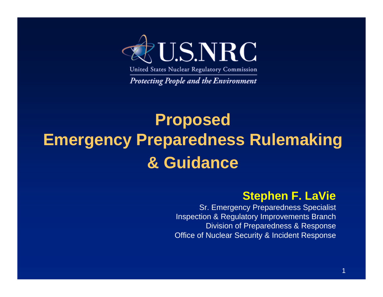

United States Nuclear Regulatory Commission

Protecting People and the Environment

### **Proposed Emergency Preparedness Rulemaking & Guidance**

#### **Stephen F. LaVie**

Sr. Emergency Preparedness Specialist Inspection & Regulatory Improvements Branch Division of Preparedness & Response Office of Nuclear Security & Incident Response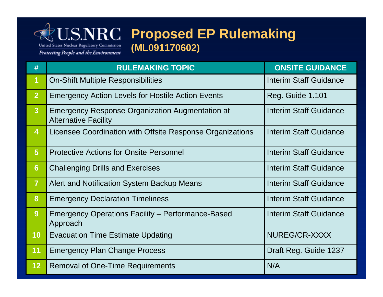

#### **J.S.NRC Proposed EP Rulemaking (ML091170602)**

| #                       | <b>RULEMAKING TOPIC</b>                                                        | <b>ONSITE GUIDANCE</b>        |
|-------------------------|--------------------------------------------------------------------------------|-------------------------------|
| $\overline{\mathbf{1}}$ | <b>On-Shift Multiple Responsibilities</b>                                      | <b>Interim Staff Guidance</b> |
| $\overline{2}$          | <b>Emergency Action Levels for Hostile Action Events</b>                       | <b>Reg. Guide 1.101</b>       |
| $\overline{3}$          | Emergency Response Organization Augmentation at<br><b>Alternative Facility</b> | Interim Staff Guidance        |
| $\boldsymbol{4}$        | Licensee Coordination with Offsite Response Organizations                      | <b>Interim Staff Guidance</b> |
| $5\phantom{1}$          | <b>Protective Actions for Onsite Personnel</b>                                 | Interim Staff Guidance        |
| $6\phantom{1}6$         | <b>Challenging Drills and Exercises</b>                                        | Interim Staff Guidance        |
| $\overline{7}$          | Alert and Notification System Backup Means                                     | Interim Staff Guidance        |
| 8                       | <b>Emergency Declaration Timeliness</b>                                        | Interim Staff Guidance        |
| 9                       | Emergency Operations Facility – Performance-Based<br>Approach                  | Interim Staff Guidance        |
| 10                      | <b>Evacuation Time Estimate Updating</b>                                       | NUREG/CR-XXXX                 |
| 11                      | <b>Emergency Plan Change Process</b>                                           | Draft Reg. Guide 1237         |
| 12                      | <b>Removal of One-Time Requirements</b>                                        | N/A                           |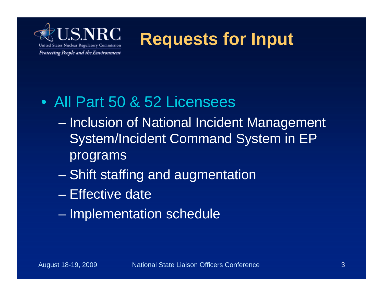

**Requests for Input**

#### • All Part 50 & 52 Licensees

- Inclusion of National Incident Management System/Incident Command System in EP programs
- Shift staffing and augmentation
- Effective date
- Implementation schedule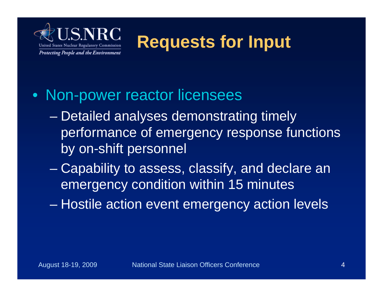

**Requests for Input**

#### • Non-power reactor licensees

- Detailed analyses demonstrating timely performance of emergency response functions by on-shift personnel
- Capability to assess, classify, and declare an emergency condition within 15 minutes
- Hostile action event emergency action levels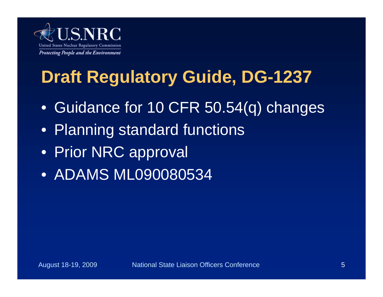

# **Draft Regulatory Guide, DG-1237**

- Guidance for 10 CFR 50.54(q) changes
- Planning standard functions
- Prior NRC approval
- ADAMS ML090080534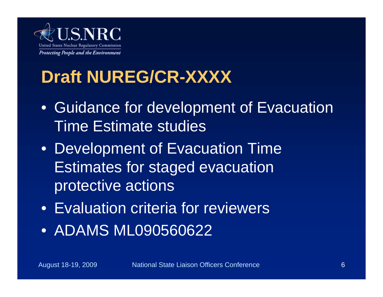

### **Draft NUREG/CR-XXXX**

- Guidance for development of Evacuation Time Estimate studies
- Development of Evacuation Time Estimates for staged evacuation protective actions
- Evaluation criteria for reviewers
- ADAMS ML090560622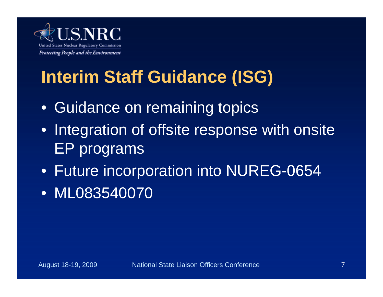

# **Interim Staff Guidance (ISG)**

- Guidance on remaining topics
- Integration of offsite response with onsite EP programs
- Future incorporation into NUREG-0654
- ML083540070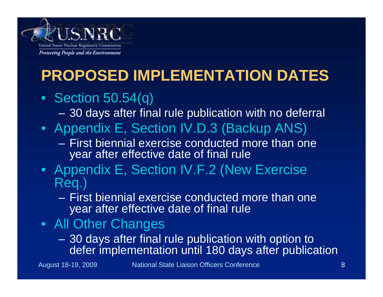

### **PROPOSED IMPLEMENTATION DATES**

#### • Section 50.54(q)

– 30 days after final rule publication with no deferral

- Appendix E, Section IV.D.3 (Backup ANS)
	- First biennial exercise conducted more than one year after effective date of final rule
- Appendix E, Section IV.F.2 (New Exercise Req.)
	- First biennial exercise conducted more than one year after effective date of final rule
- All Other Changes
	- 30 days after final rule publication with option to defer implementation until 180 days after publication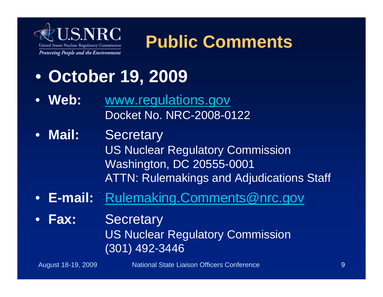

# **Public Comments**

- **October 19, 2009**
- **Web:** www.regulations.gov Docket No. NRC-2008-0122
- **Mail:** Secretary US Nuclear Regulatory Commission Washington, DC 20555-0001 ATTN: Rulemakings and Adjudications Staff
- **E-mail:** Rulemaking.Comments@nrc.gov
- **Fax:** Secretary US Nuclear Regulatory Commission (301) 492-3446